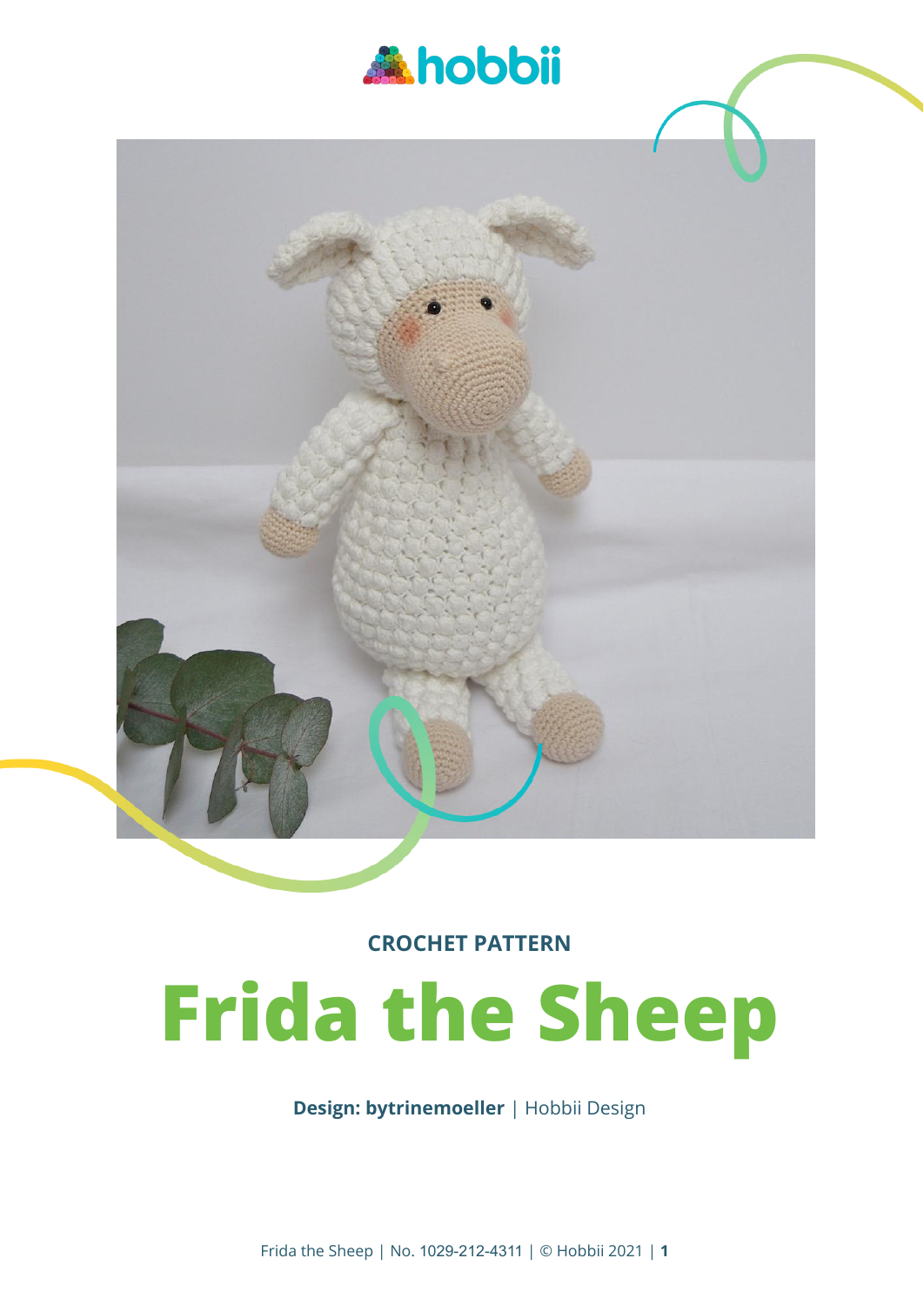



**CROCHET PATTERN**

# **Frida the Sheep**

**Design: bytrinemoeller** | Hobbii Design

Frida the Sheep | No. 1029-212-4311 | © Hobbii 2021 | **1**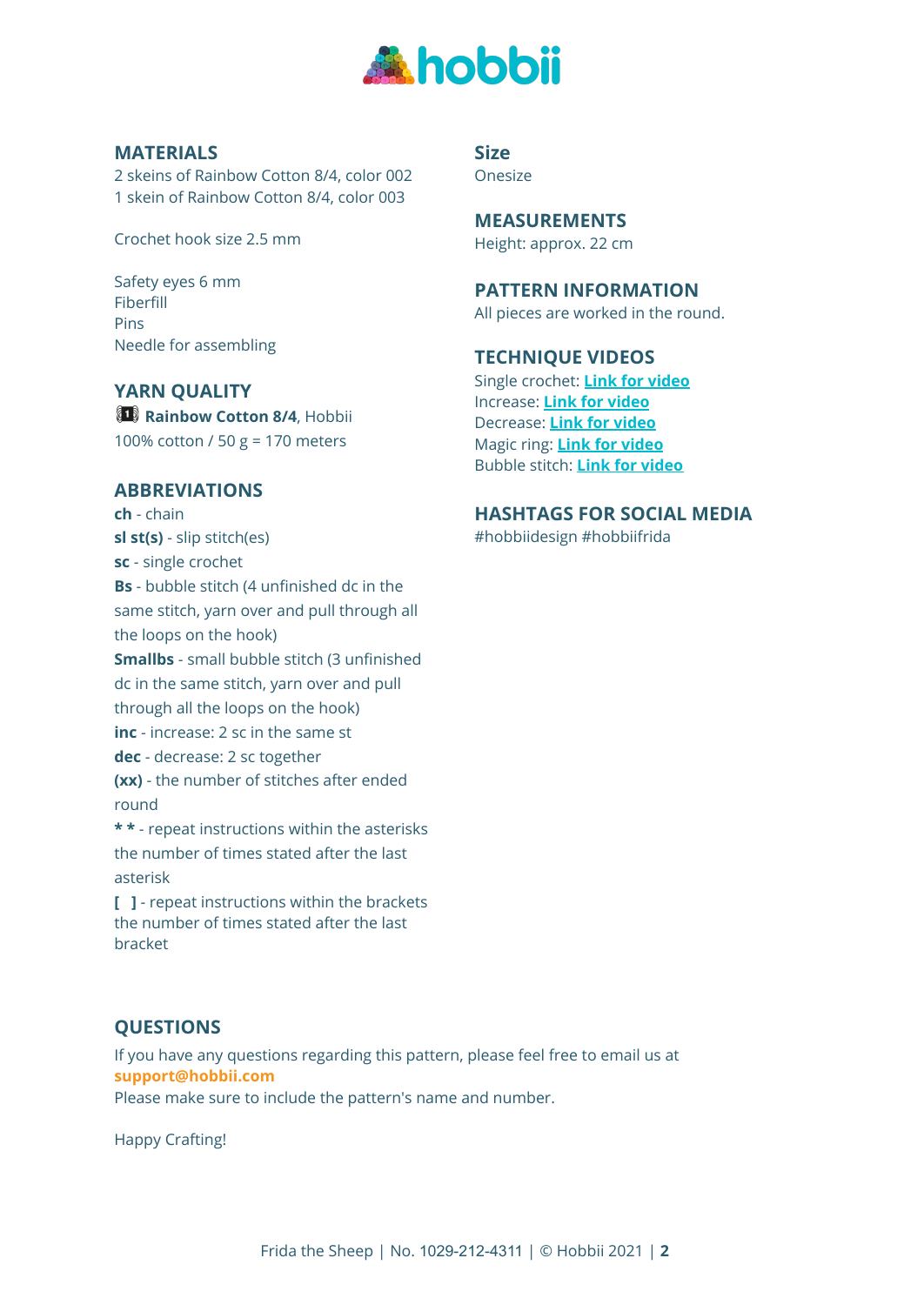

## **MATERIALS**

2 skeins of Rainbow Cotton 8/4, color 002 1 skein of Rainbow Cotton 8/4, color 003

Crochet hook size 2.5 mm

Safety eyes 6 mm Fiberfill Pins Needle for assembling

## **YARN QUALITY**

**Rainbow Cotton 8/4**, Hobbii 100% cotton / 50 g = 170 meters

#### **ABBREVIATIONS**

**ch** - chain **sl st(s)** - slip stitch(es) **sc** - single crochet **Bs** - bubble stitch (4 unfinished dc in the same stitch, yarn over and pull through all the loops on the hook) **Smallbs** - small bubble stitch (3 unfinished dc in the same stitch, yarn over and pull through all the loops on the hook) **inc** - increase: 2 sc in the same st **dec** - decrease: 2 sc together **(xx)** - the number of stitches after ended round **\* \*** - repeat instructions within the asterisks the number of times stated after the last asterisk

**[ ]** - repeat instructions within the brackets the number of times stated after the last bracket

**Size** Onesize

**MEASUREMENTS** Height: approx. 22 cm

**PATTERN INFORMATION**

All pieces are worked in the round.

#### **TECHNIQUE VIDEOS**

Single crochet: **Link for [video](https://www.youtube.com/watch?v=AERuDONab00&list=PL_gKGVkKbA2IGkQOoQLexRtjNVCEHeY-Y&index=8)** Increase: **Link for [video](https://www.youtube.com/watch?v=8qj7ovPSxdY&list=PL_gKGVkKbA2IGkQOoQLexRtjNVCEHeY-Y&index=11)** Decrease: **Link for [video](https://www.youtube.com/watch?v=p1MHHdZfSvY&list=PL_gKGVkKbA2IGkQOoQLexRtjNVCEHeY-Y&index=12)** Magic ring: **Link for [video](https://www.youtube.com/watch?v=BV_S5wfwqOk&list=PL_gKGVkKbA2IGkQOoQLexRtjNVCEHeY-Y&index=17)** Bubble stitch: **Link for [video](https://www.youtube.com/watch?v=6gddbhj8htk&list=PL_gKGVkKbA2IGkQOoQLexRtjNVCEHeY-Y&index=15)**

#### **HASHTAGS FOR SOCIAL MEDIA**

#hobbiidesign #hobbiifrida

# **QUESTIONS**

If you have any questions regarding this pattern, please feel free to email us at **support@hobbii.com**

Please make sure to include the pattern's name and number.

Happy Crafting!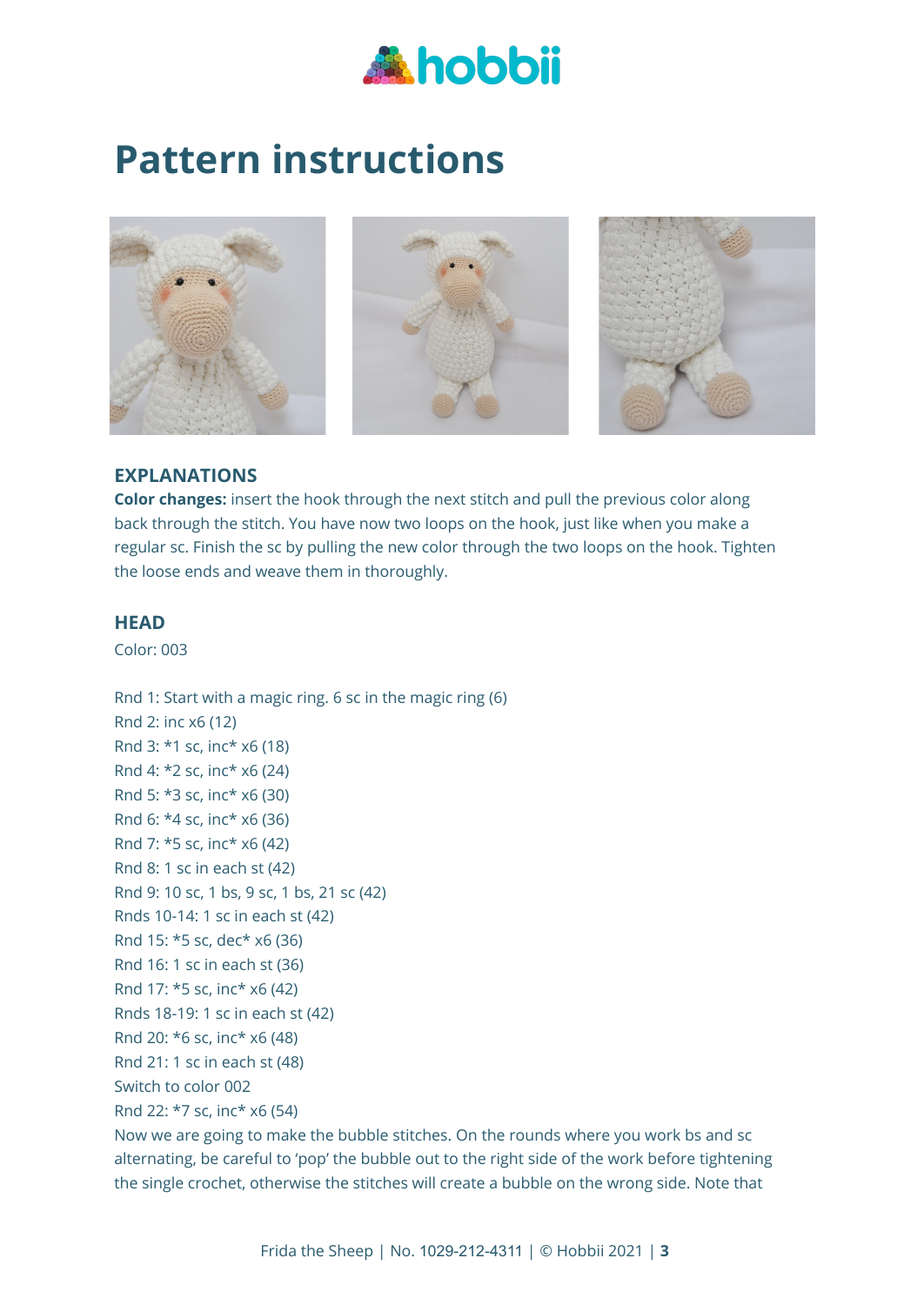

# **Pattern instructions**







# **EXPLANATIONS**

**Color changes:** insert the hook through the next stitch and pull the previous color along back through the stitch. You have now two loops on the hook, just like when you make a regular sc. Finish the sc by pulling the new color through the two loops on the hook. Tighten the loose ends and weave them in thoroughly.

# **HEAD**

Color: 003

Rnd 1: Start with a magic ring. 6 sc in the magic ring (6) Rnd 2: inc x6 (12) Rnd 3: \*1 sc, inc\* x6 (18) Rnd 4: \*2 sc, inc\* x6 (24) Rnd 5: \*3 sc, inc\* x6 (30) Rnd 6: \*4 sc, inc\* x6 (36) Rnd 7: \*5 sc, inc\* x6 (42) Rnd 8: 1 sc in each st (42) Rnd 9: 10 sc, 1 bs, 9 sc, 1 bs, 21 sc (42) Rnds 10-14: 1 sc in each st (42) Rnd 15: \*5 sc, dec\* x6 (36) Rnd 16: 1 sc in each st (36) Rnd 17: \*5 sc, inc\* x6 (42) Rnds 18-19: 1 sc in each st (42) Rnd 20: \*6 sc, inc\* x6 (48) Rnd 21: 1 sc in each st (48) Switch to color 002 Rnd 22: \*7 sc, inc\* x6 (54)

Now we are going to make the bubble stitches. On the rounds where you work bs and sc alternating, be careful to 'pop' the bubble out to the right side of the work before tightening the single crochet, otherwise the stitches will create a bubble on the wrong side. Note that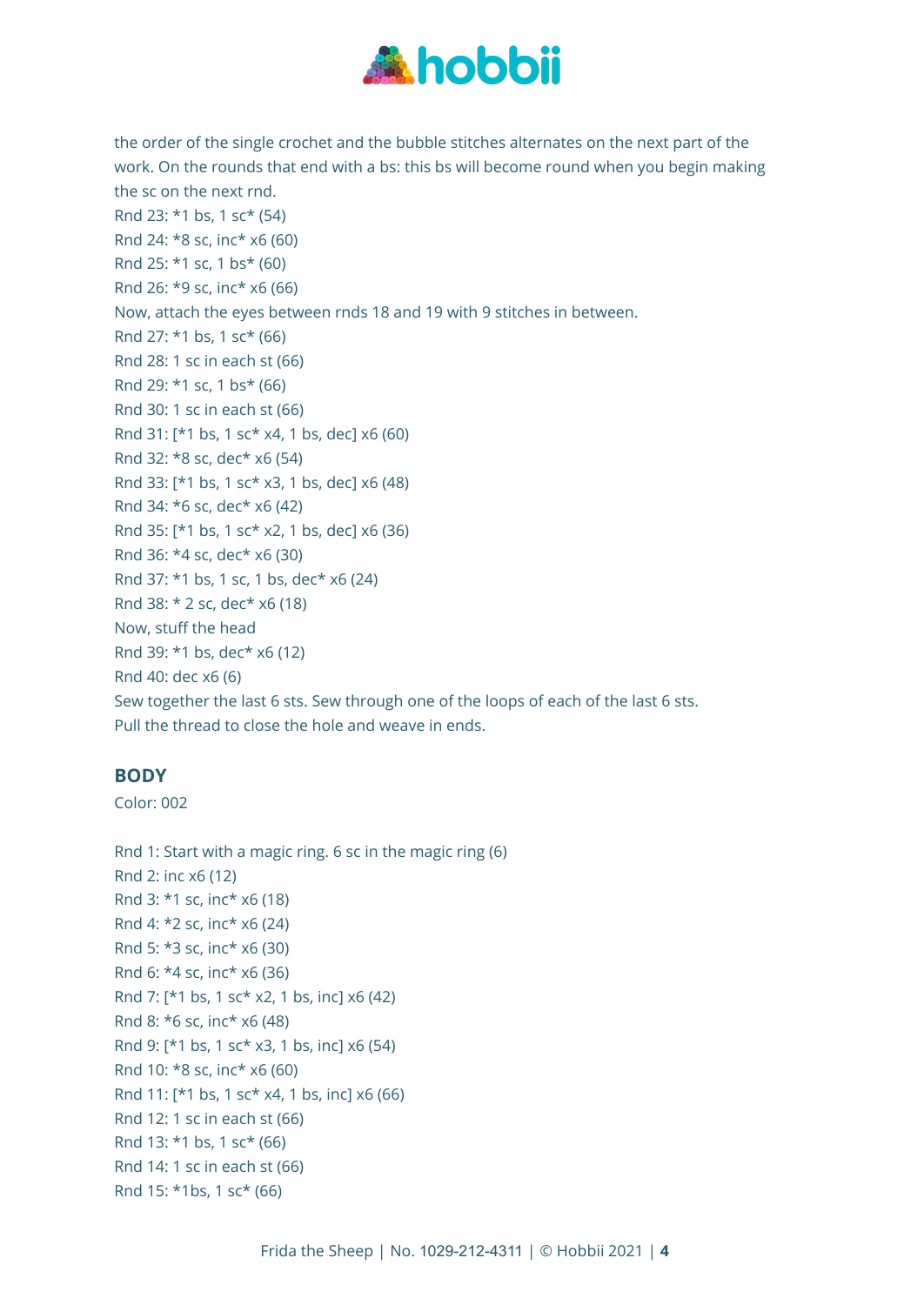

the order of the single crochet and the bubble stitches alternates on the next part of the work. On the rounds that end with a bs: this bs will become round when you begin making the sc on the next rnd. Rnd 23: \*1 bs, 1 sc\* (54) Rnd 24: \*8 sc, inc\* x6 (60) Rnd 25: \*1 sc, 1 bs\* (60) Rnd 26: \*9 sc, inc\* x6 (66) Now, attach the eyes between rnds 18 and 19 with 9 stitches in between. Rnd 27: \*1 bs, 1 sc\* (66) Rnd 28: 1 sc in each st (66) Rnd 29: \*1 sc, 1 bs\* (66) Rnd 30: 1 sc in each st (66) Rnd 31: [\*1 bs, 1 sc\* x4, 1 bs, dec] x6 (60) Rnd 32: \*8 sc, dec\* x6 (54) Rnd 33: [\*1 bs, 1 sc\* x3, 1 bs, dec] x6 (48) Rnd 34: \*6 sc, dec\* x6 (42) Rnd 35: [\*1 bs, 1 sc\* x2, 1 bs, dec] x6 (36) Rnd 36: \*4 sc, dec\* x6 (30) Rnd 37: \*1 bs, 1 sc, 1 bs, dec\* x6 (24) Rnd 38: \* 2 sc, dec\* x6 (18) Now, stuff the head Rnd 39: \*1 bs, dec\* x6 (12) Rnd 40: dec x6 (6) Sew together the last 6 sts. Sew through one of the loops of each of the last 6 sts. Pull the thread to close the hole and weave in ends.

# **BODY**

Color: 002

Rnd 1: Start with a magic ring. 6 sc in the magic ring (6) Rnd 2: inc x6 (12) Rnd 3: \*1 sc, inc\* x6 (18) Rnd 4: \*2 sc, inc\* x6 (24) Rnd 5: \*3 sc, inc\* x6 (30) Rnd 6: \*4 sc, inc\* x6 (36) Rnd 7: [\*1 bs, 1 sc\* x2, 1 bs, inc] x6 (42) Rnd 8: \*6 sc, inc\* x6 (48) Rnd 9: [\*1 bs, 1 sc\* x3, 1 bs, inc] x6 (54) Rnd 10: \*8 sc, inc\* x6 (60) Rnd 11: [\*1 bs, 1 sc\* x4, 1 bs, inc] x6 (66) Rnd 12: 1 sc in each st (66) Rnd 13: \*1 bs, 1 sc\* (66) Rnd 14: 1 sc in each st (66) Rnd 15: \*1bs, 1 sc\* (66)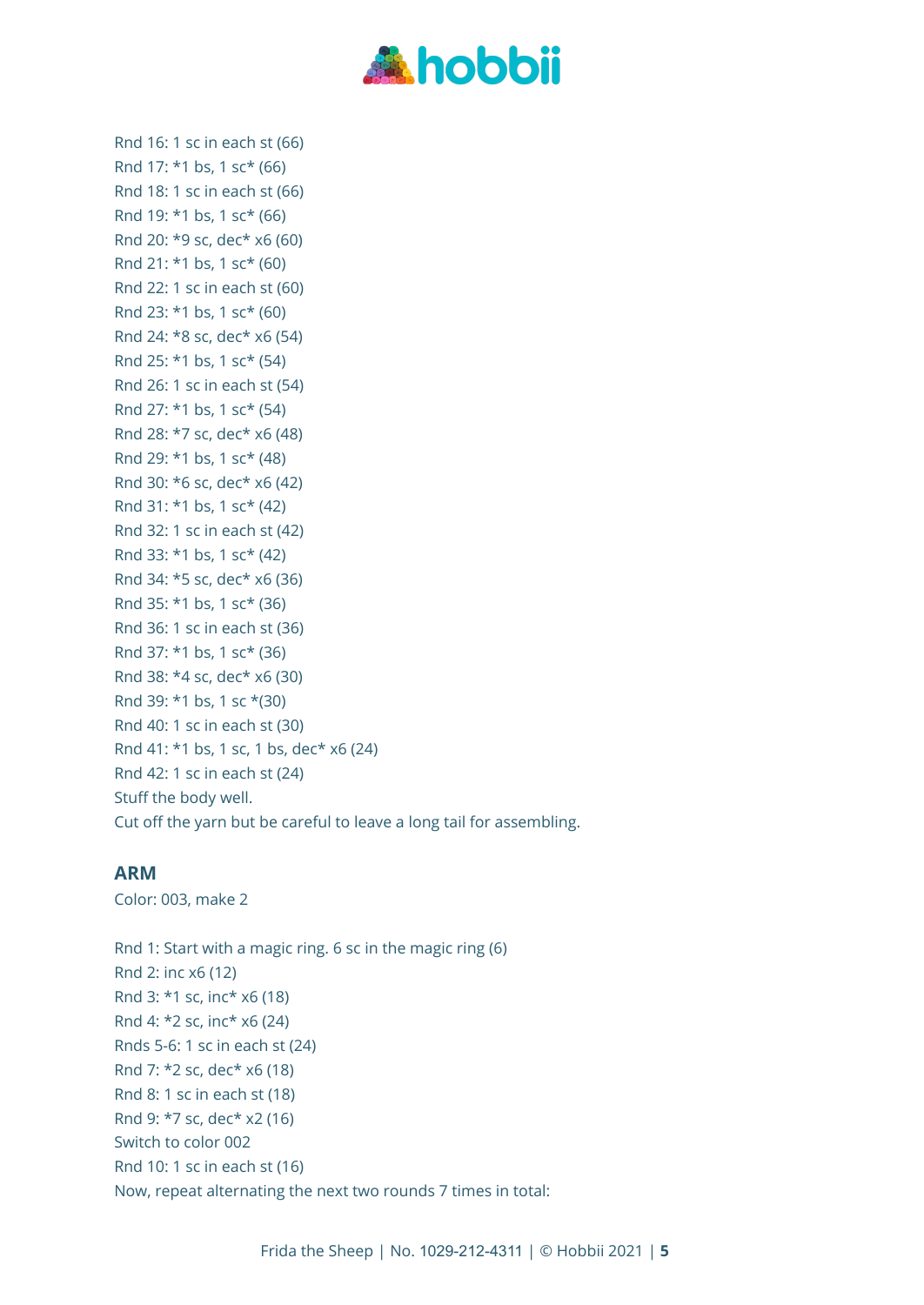

Rnd 16: 1 sc in each st (66) Rnd 17: \*1 bs, 1 sc\* (66) Rnd 18: 1 sc in each st (66) Rnd 19: \*1 bs, 1 sc\* (66) Rnd 20: \*9 sc, dec\* x6 (60) Rnd 21: \*1 bs, 1 sc\* (60) Rnd 22: 1 sc in each st (60) Rnd 23: \*1 bs, 1 sc\* (60) Rnd 24: \*8 sc, dec\* x6 (54) Rnd 25: \*1 bs, 1 sc\* (54) Rnd 26: 1 sc in each st (54) Rnd 27: \*1 bs, 1 sc\* (54) Rnd 28: \*7 sc, dec\* x6 (48) Rnd 29: \*1 bs, 1 sc\* (48) Rnd 30: \*6 sc, dec\* x6 (42) Rnd 31: \*1 bs, 1 sc\* (42) Rnd 32: 1 sc in each st (42) Rnd 33: \*1 bs, 1 sc\* (42) Rnd 34: \*5 sc, dec\* x6 (36) Rnd 35: \*1 bs, 1 sc\* (36) Rnd 36: 1 sc in each st (36) Rnd 37: \*1 bs, 1 sc\* (36) Rnd 38: \*4 sc, dec\* x6 (30) Rnd 39: \*1 bs, 1 sc \*(30) Rnd 40: 1 sc in each st (30) Rnd 41: \*1 bs, 1 sc, 1 bs, dec\* x6 (24) Rnd 42: 1 sc in each st (24) Stuff the body well. Cut off the yarn but be careful to leave a long tail for assembling.

#### **ARM**

Color: 003, make 2

Rnd 1: Start with a magic ring. 6 sc in the magic ring (6) Rnd 2: inc x6 (12) Rnd 3: \*1 sc, inc\* x6 (18) Rnd 4: \*2 sc, inc\* x6 (24) Rnds 5-6: 1 sc in each st (24) Rnd 7: \*2 sc, dec\* x6 (18) Rnd 8: 1 sc in each st (18) Rnd 9: \*7 sc, dec\* x2 (16) Switch to color 002 Rnd 10: 1 sc in each st (16) Now, repeat alternating the next two rounds 7 times in total: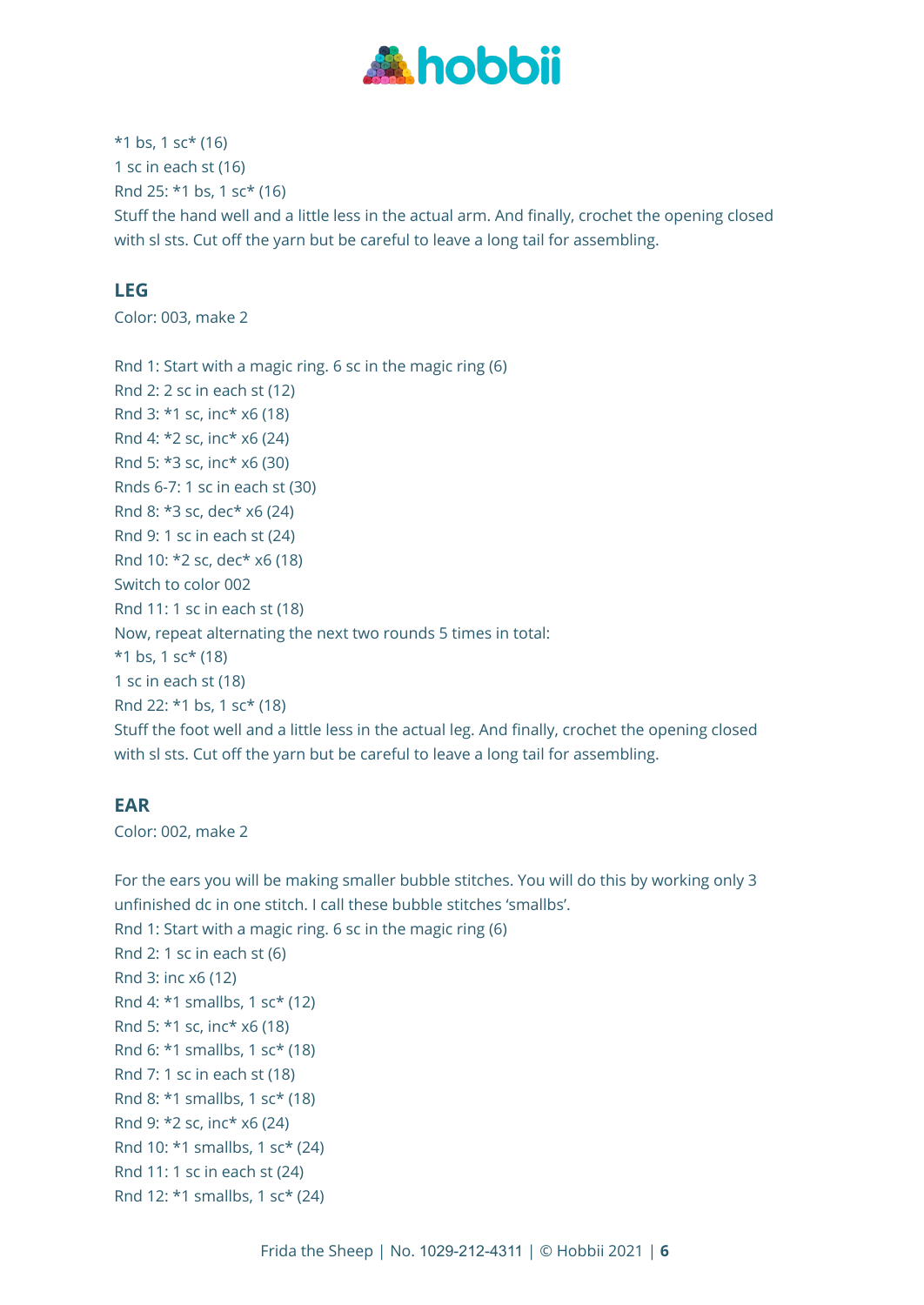

 $*1$  bs, 1 sc $*$  (16) 1 sc in each st (16) Rnd 25: \*1 bs, 1 sc\* (16) Stuff the hand well and a little less in the actual arm. And finally, crochet the opening closed with sl sts. Cut off the yarn but be careful to leave a long tail for assembling.

# **LEG**

Color: 003, make 2

Rnd 1: Start with a magic ring. 6 sc in the magic ring (6) Rnd 2: 2 sc in each st (12) Rnd 3: \*1 sc, inc\* x6 (18) Rnd 4: \*2 sc, inc\* x6 (24) Rnd 5: \*3 sc, inc\* x6 (30) Rnds 6-7: 1 sc in each st (30) Rnd 8: \*3 sc, dec\* x6 (24) Rnd 9: 1 sc in each st (24) Rnd 10: \*2 sc, dec\* x6 (18) Switch to color 002 Rnd 11: 1 sc in each st (18) Now, repeat alternating the next two rounds 5 times in total:  $*1$  bs, 1 sc $*$  (18) 1 sc in each st (18) Rnd 22: \*1 bs, 1 sc\* (18) Stuff the foot well and a little less in the actual leg. And finally, crochet the opening closed with sl sts. Cut off the yarn but be careful to leave a long tail for assembling.

# **EAR**

Color: 002, make 2

For the ears you will be making smaller bubble stitches. You will do this by working only 3 unfinished dc in one stitch. I call these bubble stitches 'smallbs'. Rnd 1: Start with a magic ring. 6 sc in the magic ring (6) Rnd 2: 1 sc in each st (6) Rnd 3: inc x6 (12) Rnd 4: \*1 smallbs, 1 sc\* (12) Rnd 5: \*1 sc, inc\* x6 (18) Rnd 6: \*1 smallbs, 1 sc\* (18) Rnd 7: 1 sc in each st (18) Rnd 8: \*1 smallbs, 1 sc\* (18) Rnd 9: \*2 sc, inc\* x6 (24) Rnd 10: \*1 smallbs, 1 sc\* (24) Rnd 11: 1 sc in each st (24) Rnd 12: \*1 smallbs, 1 sc\* (24)